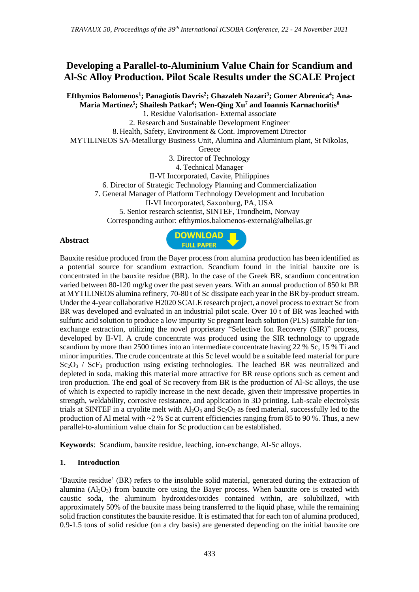# **Developing a Parallel-to-Aluminium Value Chain for Scandium and Al-Sc Alloy Production. Pilot Scale Results under the SCALE Project**

**Efthymios Balomenos<sup>1</sup> ; Panagiotis Davris<sup>2</sup> ; Ghazaleh Nazari<sup>3</sup> ; Gomer Abrenica<sup>4</sup> ; Ana-Maria Martinez<sup>5</sup> ; Shailesh Patkar<sup>6</sup> ; Wen-Qing Xu<sup>7</sup> and Ioannis Karnachoritis<sup>8</sup>**

1. Residue Valorisation- External associate 2. Research and Sustainable Development Engineer 8.Health, Safety, Environment & Cont. Improvement Director

MYTILINEOS SA-Metallurgy Business Unit, Alumina and Aluminium plant, St Nikolas,

**Greece** 

3. Director of Technology

4. Technical Manager

II-VI Incorporated, Cavite, Philippines

6. Director of Strategic Technology Planning and Commercialization

7. General Manager of Platform Technology Development and Incubation

II-VI Incorporated, Saxonburg, PA, USA

5. Senior research scientist, SINTEF, Trondheim, Norway Corresponding author: efthymios.balomenos-external@alhellas.gr

#### **Abstract**



Bauxite residue produced from the Bayer process from alumina production has been identified as a potential source for scandium extraction. Scandium found in the initial bauxite ore is concentrated in the bauxite residue (BR). In the case of the Greek BR, scandium concentration varied between 80-120 mg/kg over the past seven years. With an annual production of 850 kt BR at MYTILINEOS alumina refinery, 70-80 t of Sc dissipate each year in the BR by-product stream. Under the 4-year collaborative H2020 SCALE research project, a novel process to extract Sc from BR was developed and evaluated in an industrial pilot scale. Over 10 t of BR was leached with sulfuric acid solution to produce a low impurity Sc pregnant leach solution (PLS) suitable for ionexchange extraction, utilizing the novel proprietary "Selective Ion Recovery (SIR)" process, developed by II-VI. A crude concentrate was produced using the SIR technology to upgrade scandium by more than 2500 times into an intermediate concentrate having 22 % Sc, 15 % Ti and minor impurities. The crude concentrate at this Sc level would be a suitable feed material for pure  $Sc_2O_3$  /  $Sc_3$  production using existing technologies. The leached BR was neutralized and depleted in soda, making this material more attractive for BR reuse options such as cement and iron production. The end goal of Sc recovery from BR is the production of Al-Sc alloys, the use of which is expected to rapidly increase in the next decade, given their impressive properties in strength, weldability, corrosive resistance, and application in 3D printing. Lab-scale electrolysis trials at SINTEF in a cryolite melt with  $A_1O_3$  and  $Sc_2O_3$  as feed material, successfully led to the production of Al metal with  $\sim$  2 % Sc at current efficiencies ranging from 85 to 90 %. Thus, a new parallel-to-aluminium value chain for Sc production can be established.

**Keywords**: Scandium, bauxite residue, leaching, ion-exchange, Al-Sc alloys.

### **1. Introduction**

'Bauxite residue' (BR) refers to the insoluble solid material, generated during the extraction of alumina  $(A<sub>12</sub>O<sub>3</sub>)$  from bauxite ore using the Bayer process. When bauxite ore is treated with caustic soda, the aluminum hydroxides/oxides contained within, are solubilized, with approximately 50% of the bauxite mass being transferred to the liquid phase, while the remaining solid fraction constitutes the bauxite residue. It is estimated that for each ton of alumina produced, 0.9-1.5 tons of solid residue (on a dry basis) are generated depending on the initial bauxite ore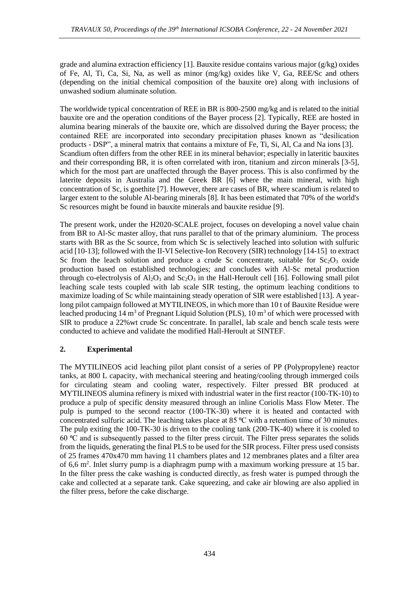grade and alumina extraction efficiency [1]. Bauxite residue contains various major ( $g/kg$ ) oxides of Fe, Al, Ti, Ca, Si, Na, as well as minor (mg/kg) oxides like V, Ga, REE/Sc and others (depending on the initial chemical composition of the bauxite ore) along with inclusions of unwashed sodium aluminate solution.

The worldwide typical concentration of REE in BR is 800-2500 mg/kg and is related to the initial bauxite ore and the operation conditions of the Bayer process [2]. Typically, REE are hosted in alumina bearing minerals of the bauxite ore, which are dissolved during the Bayer process; the contained REE are incorporated into secondary precipitation phases known as "desilication products - DSP", a mineral matrix that contains a mixture of Fe, Ti, Si, Al, Ca and Na ions [3]. Scandium often differs from the other REE in its mineral behavior; especially in lateritic bauxites and their corresponding BR, it is often correlated with iron, titanium and zircon minerals [3-5], which for the most part are unaffected through the Bayer process. This is also confirmed by the laterite deposits in Australia and the Greek BR [6] where the main mineral, with high concentration of Sc, is goethite [7]. However, there are cases of BR, where scandium is related to larger extent to the soluble Al-bearing minerals [8]. It has been estimated that 70% of the world's Sc resources might be found in bauxite minerals and bauxite residue [9].

The present work, under the H2020-SCALE project, focuses on developing a novel value chain from BR to Al-Sc master alloy, that runs parallel to that of the primary aluminium. The process starts with BR as the Sc source, from which Sc is selectively leached into solution with sulfuric acid [10-13]; followed with the II-VI Selective-Ion Recovery (SIR) technology [14-15] to extract Sc from the leach solution and produce a crude Sc concentrate, suitable for  $Sc_2O_3$  oxide production based on established technologies; and concludes with Al-Sc metal production through co-electrolysis of  $A_1O_3$  and  $Sc_2O_3$  in the Hall-Heroult cell [16]. Following small pilot leaching scale tests coupled with lab scale SIR testing, the optimum leaching conditions to maximize loading of Sc while maintaining steady operation of SIR were established [13]. A yearlong pilot campaign followed at MYTILINEOS, in which more than 10 t of Bauxite Residue were leached producing 14 m<sup>3</sup> of Pregnant Liquid Solution (PLS), 10 m<sup>3</sup> of which were processed with SIR to produce a 22%wt crude Sc concentrate. In parallel, lab scale and bench scale tests were conducted to achieve and validate the modified Hall-Heroult at SINTEF.

## **2. Experimental**

The MYTILINEOS acid leaching pilot plant consist of a series of PP (Polypropylene) reactor tanks, at 800 L capacity, with mechanical steering and heating/cooling through immerged coils for circulating steam and cooling water, respectively. Filter pressed BR produced at MYTILINEOS alumina refinery is mixed with industrial water in the first reactor (100-TK-10) to produce a pulp of specific density measured through an inline Coriolis Mass Flow Meter. The pulp is pumped to the second reactor (100-TK-30) where it is heated and contacted with concentrated sulfuric acid. The leaching takes place at 85  $^{\circ}$ C with a retention time of 30 minutes. The pulp exiting the 100-TK-30 is driven to the cooling tank (200-TK-40) where it is cooled to 60  $\degree$ C and is subsequently passed to the filter press circuit. The Filter press separates the solids from the liquids, generating the final PLS to be used for the SIR process. Filter press used consists of 25 frames 470x470 mm having 11 chambers plates and 12 membranes plates and a filter area of 6,6  $m^2$ . Inlet slurry pump is a diaphragm pump with a maximum working pressure at 15 bar. In the filter press the cake washing is conducted directly, as fresh water is pumped through the cake and collected at a separate tank. Cake squeezing, and cake air blowing are also applied in the filter press, before the cake discharge.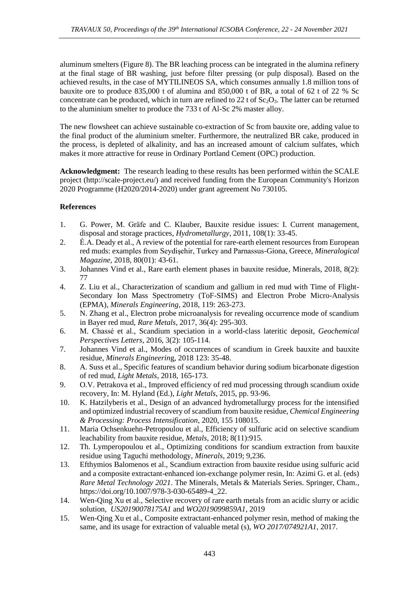aluminum smelters (Figure 8). The BR leaching process can be integrated in the alumina refinery at the final stage of BR washing, just before filter pressing (or pulp disposal). Based on the achieved results, in the case of MYTILINEOS SA, which consumes annually 1.8 million tons of bauxite ore to produce 835,000 t of alumina and 850,000 t of BR, a total of 62 t of 22 % Sc concentrate can be produced, which in turn are refined to  $22$  t of  $Sc<sub>2</sub>O<sub>3</sub>$ . The latter can be returned to the aluminium smelter to produce the 733 t of Al-Sc 2% master alloy.

The new flowsheet can achieve sustainable co-extraction of Sc from bauxite ore, adding value to the final product of the aluminium smelter. Furthermore, the neutralized BR cake, produced in the process, is depleted of alkalinity, and has an increased amount of calcium sulfates, which makes it more attractive for reuse in Ordinary Portland Cement (OPC) production.

**Acknowledgment:** The research leading to these results has been performed within the SCALE project (http://scale-project.eu/) and received funding from the European Community's Horizon 2020 Programme (H2020/2014-2020) under grant agreement No 730105.

### **References**

- 1. G. Power, M. Gräfe and C. Klauber, Bauxite residue issues: I. Current management, disposal and storage practices, *Hydrometallurgy*, 2011, 108(1): 33-45.
- 2. É.A. Deady et al., A review of the potential for rare-earth element resources from European red muds: examples from Seydişehir, Turkey and Parnassus-Giona, Greece, *Mineralogical Magazine,* 2018, 80(01): 43-61.
- 3. Johannes Vind et al., Rare earth element phases in bauxite residue, Minerals, 2018, 8(2): 77
- 4. Z. Liu et al., Characterization of scandium and gallium in red mud with Time of Flight-Secondary Ion Mass Spectrometry (ToF-SIMS) and Electron Probe Micro-Analysis (EPMA), *Minerals Engineering*, 2018, 119: 263-273.
- 5. N. Zhang et al., Electron probe microanalysis for revealing occurrence mode of scandium in Bayer red mud, *Rare Metals*, 2017, 36(4): 295-303.
- 6. M. Chassé et al., Scandium speciation in a world-class lateritic deposit, *Geochemical Perspectives Letters*, 2016, 3(2): 105-114.
- 7. Johannes Vind et al., Modes of occurrences of scandium in Greek bauxite and bauxite residue, *Minerals Engineerin*g, 2018 123: 35-48.
- 8. A. Suss et al., Specific features of scandium behavior during sodium bicarbonate digestion of red mud, *Light Metals*, 2018, 165-173.
- 9. O.V. Petrakova et al., Improved efficiency of red mud processing through scandium oxide recovery, In: M. Hyland (Ed.), *Light Metals*, 2015, pp. 93-96.
- 10. K. Hatzilyberis et al., Design of an advanced hydrometallurgy process for the intensified and optimized industrial recovery of scandium from bauxite residue, *Chemical Engineering & Processing: Process Intensification*, 2020, 155 108015.
- 11. Maria Ochsenkuehn-Petropoulou et al., Efficiency of sulfuric acid on selective scandium leachability from bauxite residue, *Metals*, 2018; 8(11):915.
- 12. Th. Lymperopoulou et al., Optimizing conditions for scandium extraction from bauxite residue using Taguchi methodology, *Minerals*, 2019; 9,236.
- 13. Efthymios Balomenos et al., Scandium extraction from bauxite residue using sulfuric acid and a composite extractant-enhanced ion-exchange polymer resin, In: Azimi G. et al. (eds) *Rare Metal Technology 2021*. The Minerals, Metals & Materials Series. Springer, Cham., https://doi.org/10.1007/978-3-030-65489-4\_22.
- 14. Wen-Qing Xu et al., Selective recovery of rare earth metals from an acidic slurry or acidic solution, *US20190078175A1* and *WO2019099859A1*, 2019
- 15. Wen-Qing Xu et al., Composite extractant-enhanced polymer resin, method of making the same, and its usage for extraction of valuable metal (s), *WO 2017/074921A1*, 2017.